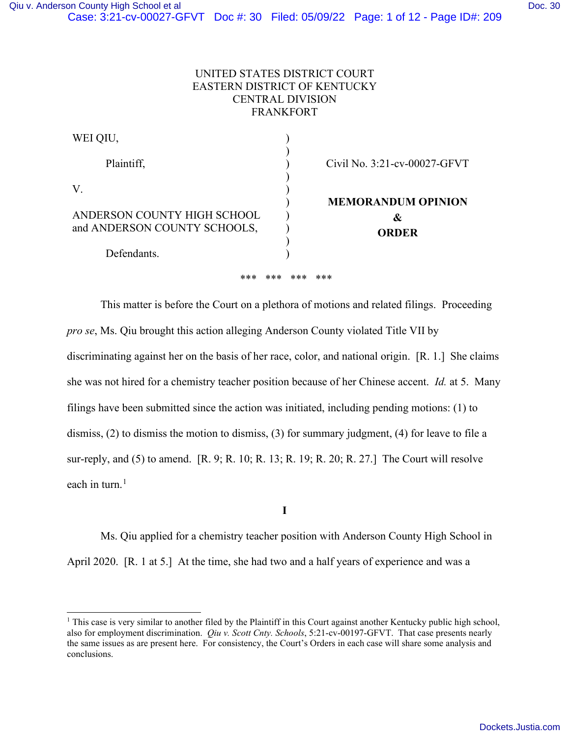| WEI QIU,                     |                              |
|------------------------------|------------------------------|
| Plaintiff,                   | Civil No. 3:21-cv-00027-GFVT |
| V.                           |                              |
|                              | <b>MEMORANDUM OPINION</b>    |
| ANDERSON COUNTY HIGH SCHOOL  | &                            |
| and ANDERSON COUNTY SCHOOLS, | <b>ORDER</b>                 |
|                              |                              |
| Defendants.                  |                              |

\*\*\* \*\*\* \*\*\* \*\*\*

This matter is before the Court on a plethora of motions and related filings. Proceeding *pro se*, Ms. Qiu brought this action alleging Anderson County violated Title VII by discriminating against her on the basis of her race, color, and national origin. [R. 1.] She claims she was not hired for a chemistry teacher position because of her Chinese accent. *Id.* at 5. Many filings have been submitted since the action was initiated, including pending motions: (1) to dismiss, (2) to dismiss the motion to dismiss, (3) for summary judgment, (4) for leave to file a sur-reply, and (5) to amend. [R. 9; R. 10; R. 13; R. 19; R. 20; R. 27.] The Court will resolve each in turn. $<sup>1</sup>$ </sup>

**I** 

Ms. Qiu applied for a chemistry teacher position with Anderson County High School in April 2020. [R. 1 at 5.] At the time, she had two and a half years of experience and was a

<sup>&</sup>lt;sup>1</sup> This case is very similar to another filed by the Plaintiff in this Court against another Kentucky public high school, also for employment discrimination. *Qiu v. Scott Cnty. Schools*, 5:21-cv-00197-GFVT. That case presents nearly the same issues as are present here. For consistency, the Court's Orders in each case will share some analysis and conclusions.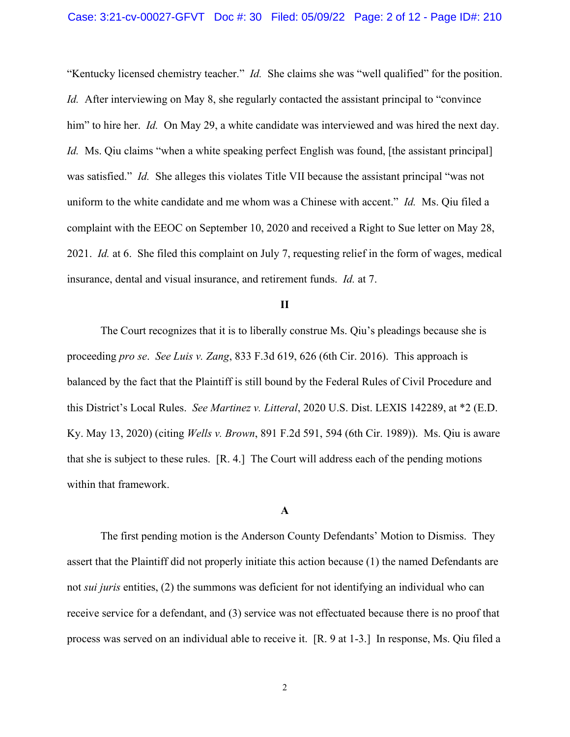"Kentucky licensed chemistry teacher." *Id.* She claims she was "well qualified" for the position. *Id.* After interviewing on May 8, she regularly contacted the assistant principal to "convince" him" to hire her. *Id.* On May 29, a white candidate was interviewed and was hired the next day. *Id.* Ms. Qiu claims "when a white speaking perfect English was found, [the assistant principal] was satisfied." *Id.* She alleges this violates Title VII because the assistant principal "was not uniform to the white candidate and me whom was a Chinese with accent." *Id.* Ms. Qiu filed a complaint with the EEOC on September 10, 2020 and received a Right to Sue letter on May 28, 2021. *Id.* at 6. She filed this complaint on July 7, requesting relief in the form of wages, medical insurance, dental and visual insurance, and retirement funds. *Id.* at 7.

# **II**

The Court recognizes that it is to liberally construe Ms. Qiu's pleadings because she is proceeding *pro se*. *See Luis v. Zang*, 833 F.3d 619, 626 (6th Cir. 2016). This approach is balanced by the fact that the Plaintiff is still bound by the Federal Rules of Civil Procedure and this District's Local Rules. *See Martinez v. Litteral*, 2020 U.S. Dist. LEXIS 142289, at \*2 (E.D. Ky. May 13, 2020) (citing *Wells v. Brown*, 891 F.2d 591, 594 (6th Cir. 1989)). Ms. Qiu is aware that she is subject to these rules. [R. 4.] The Court will address each of the pending motions within that framework.

#### **A**

 The first pending motion is the Anderson County Defendants' Motion to Dismiss. They assert that the Plaintiff did not properly initiate this action because (1) the named Defendants are not *sui juris* entities, (2) the summons was deficient for not identifying an individual who can receive service for a defendant, and (3) service was not effectuated because there is no proof that process was served on an individual able to receive it. [R. 9 at 1-3.] In response, Ms. Qiu filed a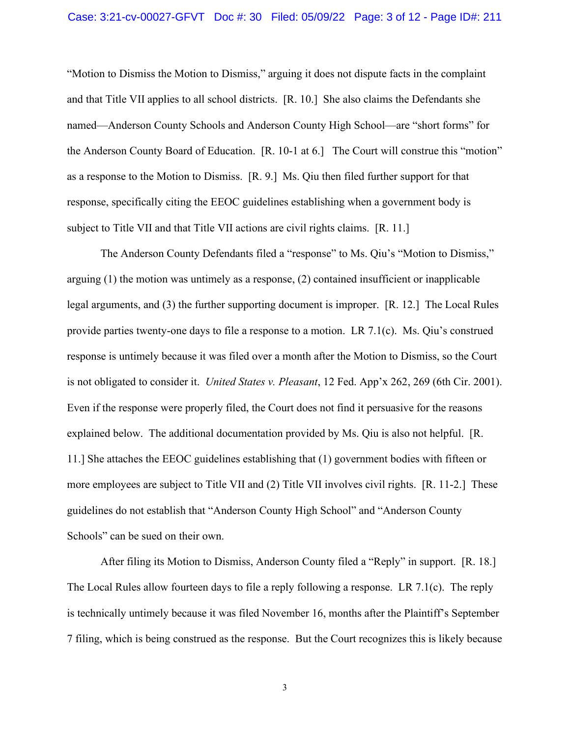"Motion to Dismiss the Motion to Dismiss," arguing it does not dispute facts in the complaint and that Title VII applies to all school districts. [R. 10.] She also claims the Defendants she named—Anderson County Schools and Anderson County High School—are "short forms" for the Anderson County Board of Education. [R. 10-1 at 6.] The Court will construe this "motion" as a response to the Motion to Dismiss. [R. 9.] Ms. Qiu then filed further support for that response, specifically citing the EEOC guidelines establishing when a government body is subject to Title VII and that Title VII actions are civil rights claims. [R. 11.]

The Anderson County Defendants filed a "response" to Ms. Qiu's "Motion to Dismiss," arguing (1) the motion was untimely as a response, (2) contained insufficient or inapplicable legal arguments, and (3) the further supporting document is improper. [R. 12.] The Local Rules provide parties twenty-one days to file a response to a motion. LR 7.1(c). Ms. Qiu's construed response is untimely because it was filed over a month after the Motion to Dismiss, so the Court is not obligated to consider it. *United States v. Pleasant*, 12 Fed. App'x 262, 269 (6th Cir. 2001). Even if the response were properly filed, the Court does not find it persuasive for the reasons explained below. The additional documentation provided by Ms. Qiu is also not helpful. [R. 11.] She attaches the EEOC guidelines establishing that (1) government bodies with fifteen or more employees are subject to Title VII and (2) Title VII involves civil rights. [R. 11-2.] These guidelines do not establish that "Anderson County High School" and "Anderson County Schools" can be sued on their own.

After filing its Motion to Dismiss, Anderson County filed a "Reply" in support. [R. 18.] The Local Rules allow fourteen days to file a reply following a response. LR 7.1(c). The reply is technically untimely because it was filed November 16, months after the Plaintiff's September 7 filing, which is being construed as the response. But the Court recognizes this is likely because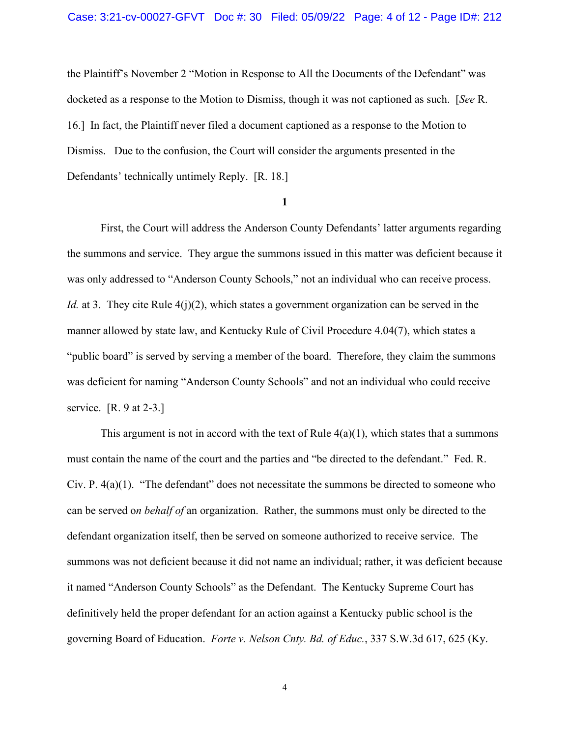the Plaintiff's November 2 "Motion in Response to All the Documents of the Defendant" was docketed as a response to the Motion to Dismiss, though it was not captioned as such. [*See* R. 16.] In fact, the Plaintiff never filed a document captioned as a response to the Motion to Dismiss. Due to the confusion, the Court will consider the arguments presented in the Defendants' technically untimely Reply. [R. 18.]

### **1**

First, the Court will address the Anderson County Defendants' latter arguments regarding the summons and service. They argue the summons issued in this matter was deficient because it was only addressed to "Anderson County Schools," not an individual who can receive process. *Id.* at 3. They cite Rule  $4(j)(2)$ , which states a government organization can be served in the manner allowed by state law, and Kentucky Rule of Civil Procedure 4.04(7), which states a "public board" is served by serving a member of the board. Therefore, they claim the summons was deficient for naming "Anderson County Schools" and not an individual who could receive service. [R. 9 at 2-3.]

This argument is not in accord with the text of Rule  $4(a)(1)$ , which states that a summons must contain the name of the court and the parties and "be directed to the defendant." Fed. R. Civ. P.  $4(a)(1)$ . "The defendant" does not necessitate the summons be directed to someone who can be served o*n behalf of* an organization. Rather, the summons must only be directed to the defendant organization itself, then be served on someone authorized to receive service. The summons was not deficient because it did not name an individual; rather, it was deficient because it named "Anderson County Schools" as the Defendant. The Kentucky Supreme Court has definitively held the proper defendant for an action against a Kentucky public school is the governing Board of Education. *Forte v. Nelson Cnty. Bd. of Educ.*, 337 S.W.3d 617, 625 (Ky.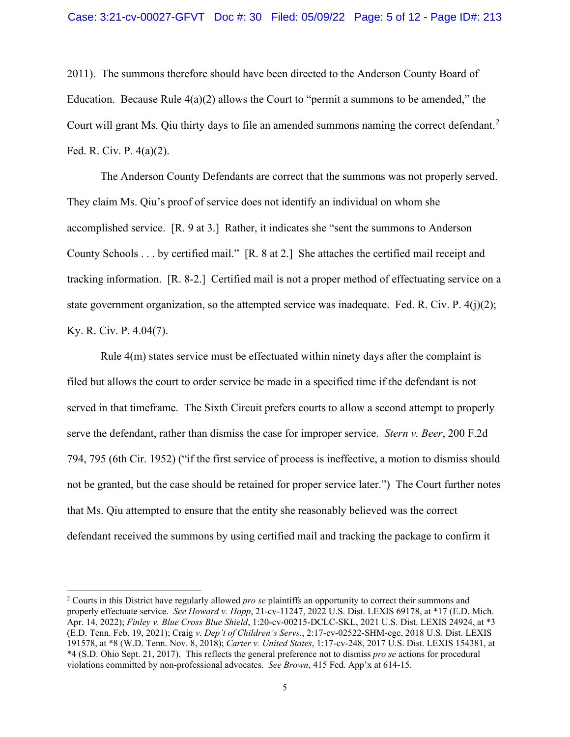2011). The summons therefore should have been directed to the Anderson County Board of Education. Because Rule  $4(a)(2)$  allows the Court to "permit a summons to be amended," the Court will grant Ms. Qiu thirty days to file an amended summons naming the correct defendant.<sup>2</sup> Fed. R. Civ. P. 4(a)(2).

 The Anderson County Defendants are correct that the summons was not properly served. They claim Ms. Qiu's proof of service does not identify an individual on whom she accomplished service. [R. 9 at 3.] Rather, it indicates she "sent the summons to Anderson County Schools . . . by certified mail." [R. 8 at 2.] She attaches the certified mail receipt and tracking information. [R. 8-2.] Certified mail is not a proper method of effectuating service on a state government organization, so the attempted service was inadequate. Fed. R. Civ. P.  $4(i)(2)$ ; Ky. R. Civ. P. 4.04(7).

Rule 4(m) states service must be effectuated within ninety days after the complaint is filed but allows the court to order service be made in a specified time if the defendant is not served in that timeframe. The Sixth Circuit prefers courts to allow a second attempt to properly serve the defendant, rather than dismiss the case for improper service. *Stern v. Beer*, 200 F.2d 794, 795 (6th Cir. 1952) ("if the first service of process is ineffective, a motion to dismiss should not be granted, but the case should be retained for proper service later.") The Court further notes that Ms. Qiu attempted to ensure that the entity she reasonably believed was the correct defendant received the summons by using certified mail and tracking the package to confirm it

<sup>2</sup> Courts in this District have regularly allowed *pro se* plaintiffs an opportunity to correct their summons and properly effectuate service. *See Howard v. Hopp*, 21-cv-11247, 2022 U.S. Dist. LEXIS 69178, at \*17 (E.D. Mich. Apr. 14, 2022); *Finley v. Blue Cross Blue Shield*, 1:20-cv-00215-DCLC-SKL, 2021 U.S. Dist. LEXIS 24924, at \*3 (E.D. Tenn. Feb. 19, 2021); Craig *v. Dep't of Children's Servs.*, 2:17-cv-02522-SHM-cgc, 2018 U.S. Dist. LEXIS 191578, at \*8 (W.D. Tenn. Nov. 8, 2018); *Carter v. United States*, 1:17-cv-248, 2017 U.S. Dist. LEXIS 154381, at \*4 (S.D. Ohio Sept. 21, 2017). This reflects the general preference not to dismiss *pro se* actions for procedural violations committed by non-professional advocates. *See Brown*, 415 Fed. App'x at 614-15.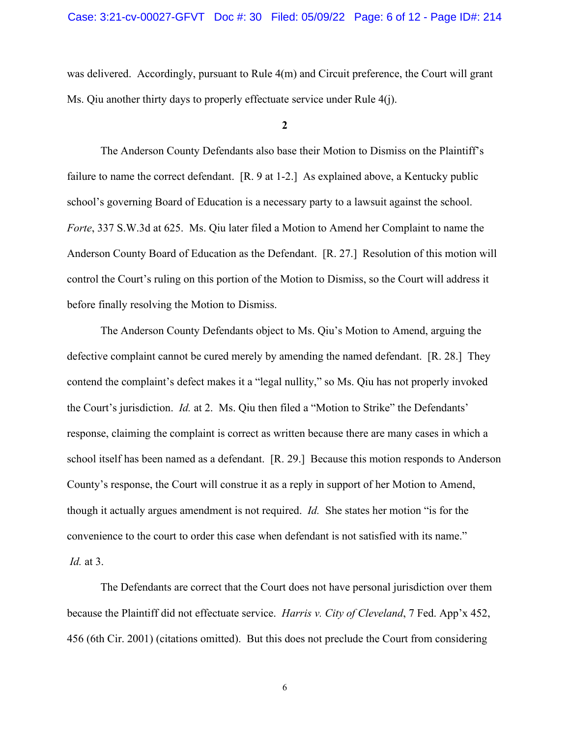was delivered. Accordingly, pursuant to Rule 4(m) and Circuit preference, the Court will grant Ms. Qiu another thirty days to properly effectuate service under Rule 4(j).

## **2**

The Anderson County Defendants also base their Motion to Dismiss on the Plaintiff's failure to name the correct defendant. [R. 9 at 1-2.] As explained above, a Kentucky public school's governing Board of Education is a necessary party to a lawsuit against the school. *Forte*, 337 S.W.3d at 625. Ms. Qiu later filed a Motion to Amend her Complaint to name the Anderson County Board of Education as the Defendant. [R. 27.] Resolution of this motion will control the Court's ruling on this portion of the Motion to Dismiss, so the Court will address it before finally resolving the Motion to Dismiss.

The Anderson County Defendants object to Ms. Qiu's Motion to Amend, arguing the defective complaint cannot be cured merely by amending the named defendant. [R. 28.] They contend the complaint's defect makes it a "legal nullity," so Ms. Qiu has not properly invoked the Court's jurisdiction. *Id.* at 2. Ms. Qiu then filed a "Motion to Strike" the Defendants' response, claiming the complaint is correct as written because there are many cases in which a school itself has been named as a defendant. [R. 29.] Because this motion responds to Anderson County's response, the Court will construe it as a reply in support of her Motion to Amend, though it actually argues amendment is not required. *Id.* She states her motion "is for the convenience to the court to order this case when defendant is not satisfied with its name." *Id.* at 3.

 The Defendants are correct that the Court does not have personal jurisdiction over them because the Plaintiff did not effectuate service. *Harris v. City of Cleveland*, 7 Fed. App'x 452, 456 (6th Cir. 2001) (citations omitted). But this does not preclude the Court from considering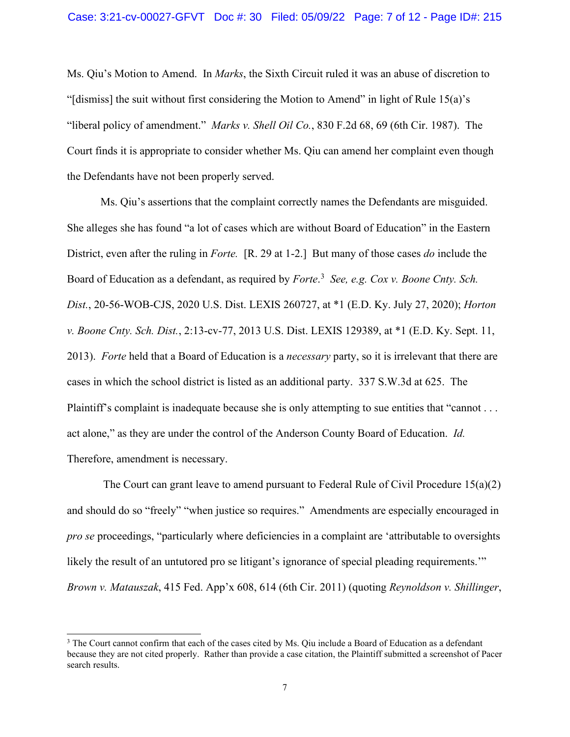Ms. Qiu's Motion to Amend. In *Marks*, the Sixth Circuit ruled it was an abuse of discretion to "[dismiss] the suit without first considering the Motion to Amend" in light of Rule 15(a)'s "liberal policy of amendment." *Marks v. Shell Oil Co.*, 830 F.2d 68, 69 (6th Cir. 1987). The Court finds it is appropriate to consider whether Ms. Qiu can amend her complaint even though the Defendants have not been properly served.

Ms. Qiu's assertions that the complaint correctly names the Defendants are misguided. She alleges she has found "a lot of cases which are without Board of Education" in the Eastern District, even after the ruling in *Forte.* [R. 29 at 1-2.] But many of those cases *do* include the Board of Education as a defendant, as required by *Forte*. 3 *See, e.g. Cox v. Boone Cnty. Sch. Dist.*, 20-56-WOB-CJS, 2020 U.S. Dist. LEXIS 260727, at \*1 (E.D. Ky. July 27, 2020); *Horton v. Boone Cnty. Sch. Dist.*, 2:13-cv-77, 2013 U.S. Dist. LEXIS 129389, at \*1 (E.D. Ky. Sept. 11, 2013). *Forte* held that a Board of Education is a *necessary* party, so it is irrelevant that there are cases in which the school district is listed as an additional party. 337 S.W.3d at 625. The Plaintiff's complaint is inadequate because she is only attempting to sue entities that "cannot . . . act alone," as they are under the control of the Anderson County Board of Education. *Id.*  Therefore, amendment is necessary.

 The Court can grant leave to amend pursuant to Federal Rule of Civil Procedure 15(a)(2) and should do so "freely" "when justice so requires." Amendments are especially encouraged in *pro se* proceedings, "particularly where deficiencies in a complaint are 'attributable to oversights likely the result of an untutored pro se litigant's ignorance of special pleading requirements." *Brown v. Matauszak*, 415 Fed. App'x 608, 614 (6th Cir. 2011) (quoting *Reynoldson v. Shillinger*,

<sup>&</sup>lt;sup>3</sup> The Court cannot confirm that each of the cases cited by Ms. Oiu include a Board of Education as a defendant because they are not cited properly. Rather than provide a case citation, the Plaintiff submitted a screenshot of Pacer search results.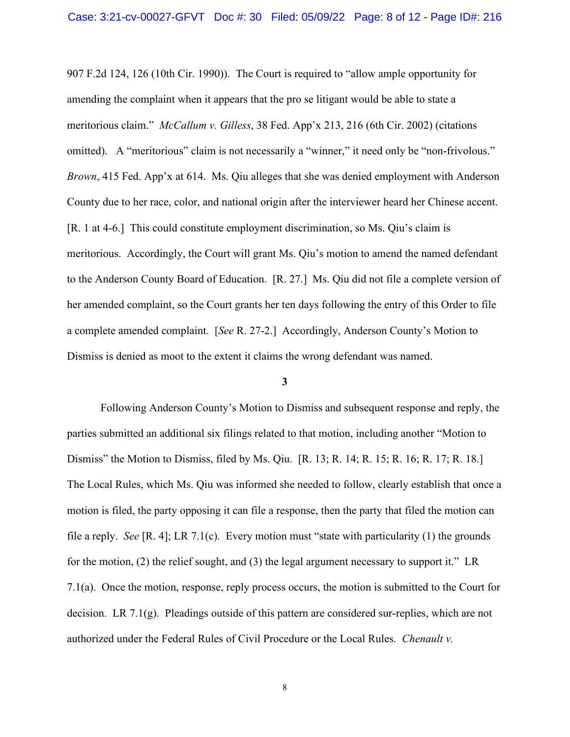907 F.2d 124, 126 (10th Cir. 1990)). The Court is required to "allow ample opportunity for amending the complaint when it appears that the pro se litigant would be able to state a meritorious claim." *McCallum v. Gilless*, 38 Fed. App'x 213, 216 (6th Cir. 2002) (citations omitted). A "meritorious" claim is not necessarily a "winner," it need only be "non-frivolous." *Brown*, 415 Fed. App'x at 614. Ms. Qiu alleges that she was denied employment with Anderson County due to her race, color, and national origin after the interviewer heard her Chinese accent. [R. 1 at 4-6.] This could constitute employment discrimination, so Ms. Qiu's claim is meritorious. Accordingly, the Court will grant Ms. Qiu's motion to amend the named defendant to the Anderson County Board of Education. [R. 27.] Ms. Qiu did not file a complete version of her amended complaint, so the Court grants her ten days following the entry of this Order to file a complete amended complaint. [*See* R. 27-2.] Accordingly, Anderson County's Motion to Dismiss is denied as moot to the extent it claims the wrong defendant was named.

#### **3**

Following Anderson County's Motion to Dismiss and subsequent response and reply, the parties submitted an additional six filings related to that motion, including another "Motion to Dismiss" the Motion to Dismiss, filed by Ms. Qiu. [R. 13; R. 14; R. 15; R. 16; R. 17; R. 18.] The Local Rules, which Ms. Qiu was informed she needed to follow, clearly establish that once a motion is filed, the party opposing it can file a response, then the party that filed the motion can file a reply. *See* [R. 4]; LR 7.1(c). Every motion must "state with particularity (1) the grounds for the motion, (2) the relief sought, and (3) the legal argument necessary to support it." LR 7.1(a). Once the motion, response, reply process occurs, the motion is submitted to the Court for decision. LR 7.1(g). Pleadings outside of this pattern are considered sur-replies, which are not authorized under the Federal Rules of Civil Procedure or the Local Rules. *Chenault v.*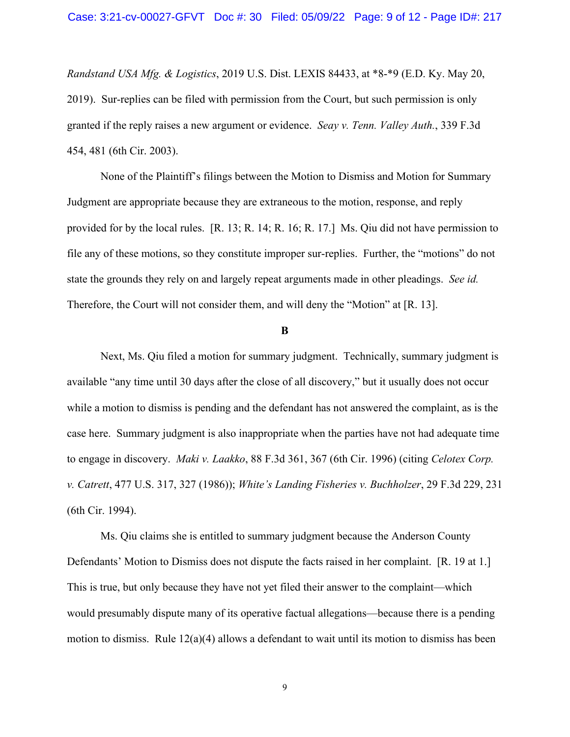*Randstand USA Mfg. & Logistics*, 2019 U.S. Dist. LEXIS 84433, at \*8-\*9 (E.D. Ky. May 20, 2019). Sur-replies can be filed with permission from the Court, but such permission is only granted if the reply raises a new argument or evidence. *Seay v. Tenn. Valley Auth.*, 339 F.3d 454, 481 (6th Cir. 2003).

None of the Plaintiff's filings between the Motion to Dismiss and Motion for Summary Judgment are appropriate because they are extraneous to the motion, response, and reply provided for by the local rules. [R. 13; R. 14; R. 16; R. 17.] Ms. Qiu did not have permission to file any of these motions, so they constitute improper sur-replies. Further, the "motions" do not state the grounds they rely on and largely repeat arguments made in other pleadings. *See id.* Therefore, the Court will not consider them, and will deny the "Motion" at [R. 13].

#### **B**

 Next, Ms. Qiu filed a motion for summary judgment. Technically, summary judgment is available "any time until 30 days after the close of all discovery," but it usually does not occur while a motion to dismiss is pending and the defendant has not answered the complaint, as is the case here. Summary judgment is also inappropriate when the parties have not had adequate time to engage in discovery. *Maki v. Laakko*, 88 F.3d 361, 367 (6th Cir. 1996) (citing *Celotex Corp. v. Catrett*, 477 U.S. 317, 327 (1986)); *White's Landing Fisheries v. Buchholzer*, 29 F.3d 229, 231 (6th Cir. 1994).

Ms. Qiu claims she is entitled to summary judgment because the Anderson County Defendants' Motion to Dismiss does not dispute the facts raised in her complaint. [R. 19 at 1.] This is true, but only because they have not yet filed their answer to the complaint—which would presumably dispute many of its operative factual allegations—because there is a pending motion to dismiss. Rule  $12(a)(4)$  allows a defendant to wait until its motion to dismiss has been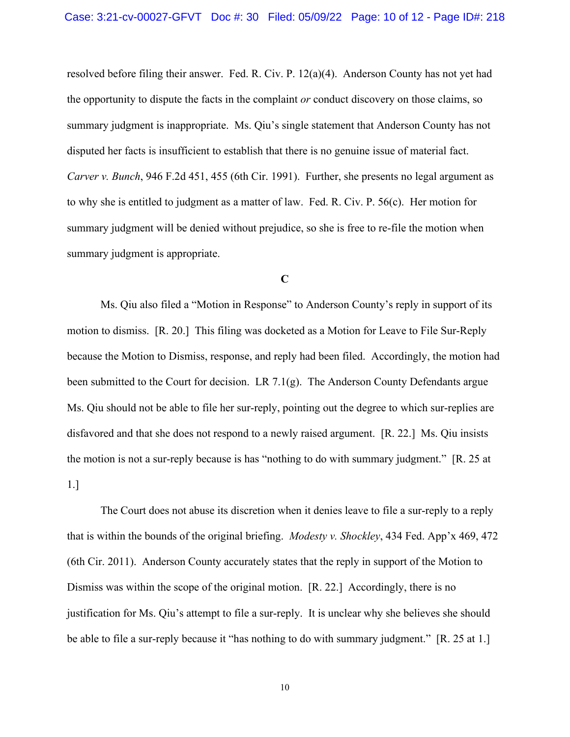resolved before filing their answer. Fed. R. Civ. P. 12(a)(4). Anderson County has not yet had the opportunity to dispute the facts in the complaint *or* conduct discovery on those claims, so summary judgment is inappropriate. Ms. Qiu's single statement that Anderson County has not disputed her facts is insufficient to establish that there is no genuine issue of material fact. *Carver v. Bunch*, 946 F.2d 451, 455 (6th Cir. 1991). Further, she presents no legal argument as to why she is entitled to judgment as a matter of law. Fed. R. Civ. P. 56(c). Her motion for summary judgment will be denied without prejudice, so she is free to re-file the motion when summary judgment is appropriate.

### **C**

Ms. Qiu also filed a "Motion in Response" to Anderson County's reply in support of its motion to dismiss. [R. 20.] This filing was docketed as a Motion for Leave to File Sur-Reply because the Motion to Dismiss, response, and reply had been filed. Accordingly, the motion had been submitted to the Court for decision. LR 7.1 $(g)$ . The Anderson County Defendants argue Ms. Qiu should not be able to file her sur-reply, pointing out the degree to which sur-replies are disfavored and that she does not respond to a newly raised argument. [R. 22.] Ms. Qiu insists the motion is not a sur-reply because is has "nothing to do with summary judgment." [R. 25 at 1.]

The Court does not abuse its discretion when it denies leave to file a sur-reply to a reply that is within the bounds of the original briefing. *Modesty v. Shockley*, 434 Fed. App'x 469, 472 (6th Cir. 2011). Anderson County accurately states that the reply in support of the Motion to Dismiss was within the scope of the original motion. [R. 22.] Accordingly, there is no justification for Ms. Qiu's attempt to file a sur-reply. It is unclear why she believes she should be able to file a sur-reply because it "has nothing to do with summary judgment." [R. 25 at 1.]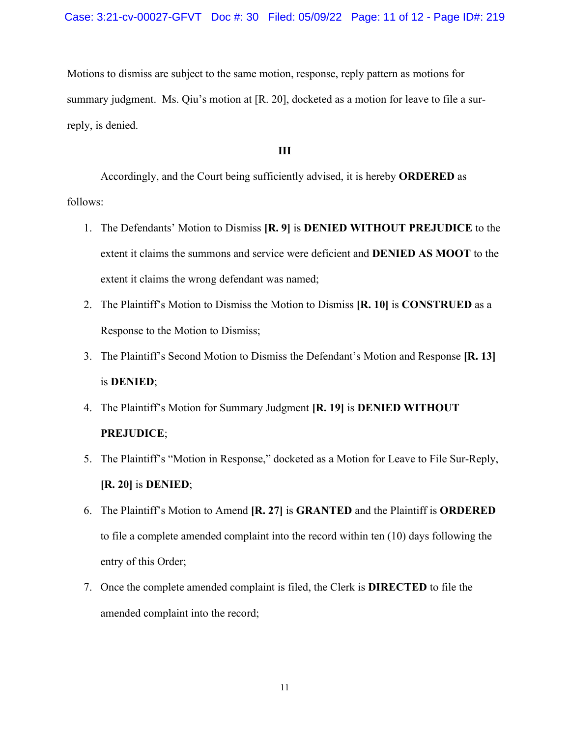Motions to dismiss are subject to the same motion, response, reply pattern as motions for summary judgment. Ms. Qiu's motion at [R. 20], docketed as a motion for leave to file a surreply, is denied.

### **III**

 Accordingly, and the Court being sufficiently advised, it is hereby **ORDERED** as follows:

- 1. The Defendants' Motion to Dismiss **[R. 9]** is **DENIED WITHOUT PREJUDICE** to the extent it claims the summons and service were deficient and **DENIED AS MOOT** to the extent it claims the wrong defendant was named;
- 2. The Plaintiff's Motion to Dismiss the Motion to Dismiss **[R. 10]** is **CONSTRUED** as a Response to the Motion to Dismiss;
- 3. The Plaintiff's Second Motion to Dismiss the Defendant's Motion and Response **[R. 13]** is **DENIED**;
- 4. The Plaintiff's Motion for Summary Judgment **[R. 19]** is **DENIED WITHOUT PREJUDICE**;
- 5. The Plaintiff's "Motion in Response," docketed as a Motion for Leave to File Sur-Reply, **[R. 20]** is **DENIED**;
- 6. The Plaintiff's Motion to Amend **[R. 27]** is **GRANTED** and the Plaintiff is **ORDERED** to file a complete amended complaint into the record within ten (10) days following the entry of this Order;
- 7. Once the complete amended complaint is filed, the Clerk is **DIRECTED** to file the amended complaint into the record;